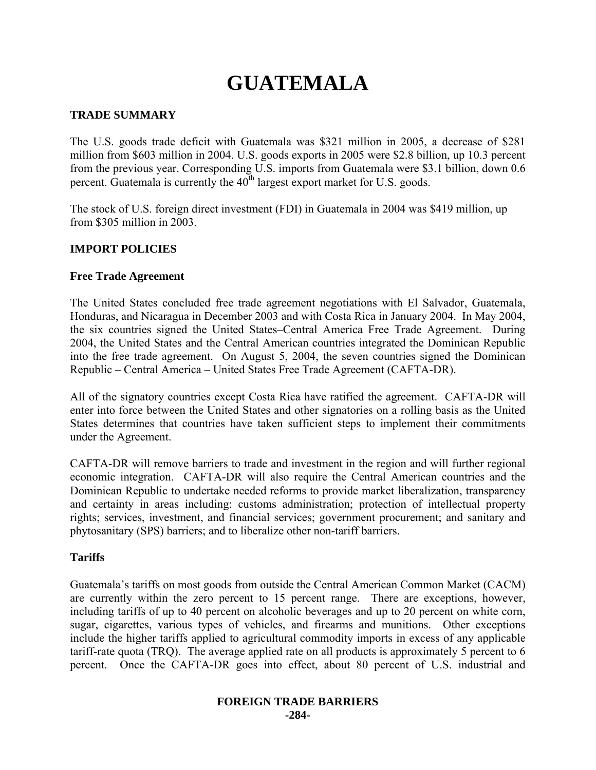# **GUATEMALA**

## **TRADE SUMMARY**

The U.S. goods trade deficit with Guatemala was \$321 million in 2005, a decrease of \$281 million from \$603 million in 2004. U.S. goods exports in 2005 were \$2.8 billion, up 10.3 percent from the previous year. Corresponding U.S. imports from Guatemala were \$3.1 billion, down 0.6 percent. Guatemala is currently the  $40<sup>th</sup>$  largest export market for U.S. goods.

The stock of U.S. foreign direct investment (FDI) in Guatemala in 2004 was \$419 million, up from \$305 million in 2003.

## **IMPORT POLICIES**

#### **Free Trade Agreement**

The United States concluded free trade agreement negotiations with El Salvador, Guatemala, Honduras, and Nicaragua in December 2003 and with Costa Rica in January 2004. In May 2004, the six countries signed the United States–Central America Free Trade Agreement. During 2004, the United States and the Central American countries integrated the Dominican Republic into the free trade agreement. On August 5, 2004, the seven countries signed the Dominican Republic – Central America – United States Free Trade Agreement (CAFTA-DR).

All of the signatory countries except Costa Rica have ratified the agreement. CAFTA-DR will enter into force between the United States and other signatories on a rolling basis as the United States determines that countries have taken sufficient steps to implement their commitments under the Agreement.

CAFTA-DR will remove barriers to trade and investment in the region and will further regional economic integration. CAFTA-DR will also require the Central American countries and the Dominican Republic to undertake needed reforms to provide market liberalization, transparency and certainty in areas including: customs administration; protection of intellectual property rights; services, investment, and financial services; government procurement; and sanitary and phytosanitary (SPS) barriers; and to liberalize other non-tariff barriers.

#### **Tariffs**

Guatemala's tariffs on most goods from outside the Central American Common Market (CACM) are currently within the zero percent to 15 percent range. There are exceptions, however, including tariffs of up to 40 percent on alcoholic beverages and up to 20 percent on white corn, sugar, cigarettes, various types of vehicles, and firearms and munitions. Other exceptions include the higher tariffs applied to agricultural commodity imports in excess of any applicable tariff-rate quota (TRQ). The average applied rate on all products is approximately 5 percent to 6 percent. Once the CAFTA-DR goes into effect, about 80 percent of U.S. industrial and

#### **FOREIGN TRADE BARRIERS -284-**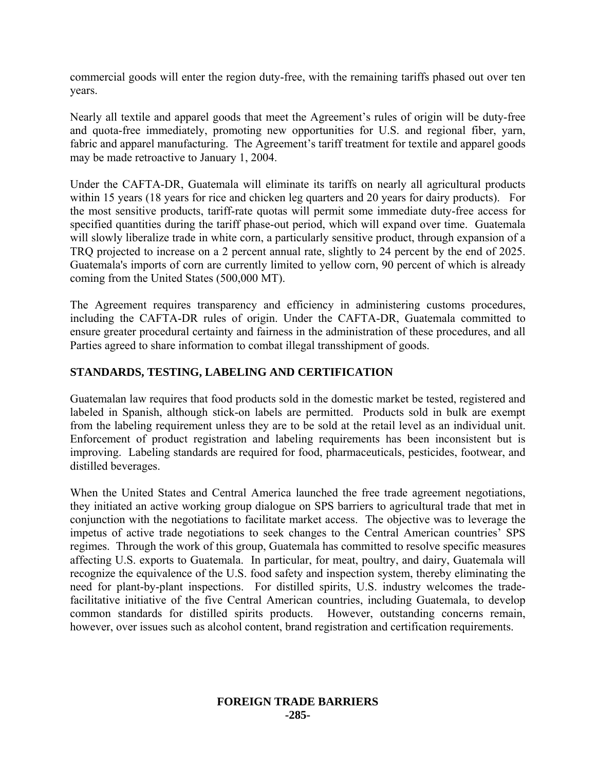commercial goods will enter the region duty-free, with the remaining tariffs phased out over ten years.

Nearly all textile and apparel goods that meet the Agreement's rules of origin will be duty-free and quota-free immediately, promoting new opportunities for U.S. and regional fiber, yarn, fabric and apparel manufacturing. The Agreement's tariff treatment for textile and apparel goods may be made retroactive to January 1, 2004.

Under the CAFTA-DR, Guatemala will eliminate its tariffs on nearly all agricultural products within 15 years (18 years for rice and chicken leg quarters and 20 years for dairy products). For the most sensitive products, tariff-rate quotas will permit some immediate duty-free access for specified quantities during the tariff phase-out period, which will expand over time. Guatemala will slowly liberalize trade in white corn, a particularly sensitive product, through expansion of a TRQ projected to increase on a 2 percent annual rate, slightly to 24 percent by the end of 2025. Guatemala's imports of corn are currently limited to yellow corn, 90 percent of which is already coming from the United States (500,000 MT).

The Agreement requires transparency and efficiency in administering customs procedures, including the CAFTA-DR rules of origin. Under the CAFTA-DR, Guatemala committed to ensure greater procedural certainty and fairness in the administration of these procedures, and all Parties agreed to share information to combat illegal transshipment of goods.

## **STANDARDS, TESTING, LABELING AND CERTIFICATION**

Guatemalan law requires that food products sold in the domestic market be tested, registered and labeled in Spanish, although stick-on labels are permitted. Products sold in bulk are exempt from the labeling requirement unless they are to be sold at the retail level as an individual unit. Enforcement of product registration and labeling requirements has been inconsistent but is improving. Labeling standards are required for food, pharmaceuticals, pesticides, footwear, and distilled beverages.

When the United States and Central America launched the free trade agreement negotiations, they initiated an active working group dialogue on SPS barriers to agricultural trade that met in conjunction with the negotiations to facilitate market access. The objective was to leverage the impetus of active trade negotiations to seek changes to the Central American countries' SPS regimes. Through the work of this group, Guatemala has committed to resolve specific measures affecting U.S. exports to Guatemala. In particular, for meat, poultry, and dairy, Guatemala will recognize the equivalence of the U.S. food safety and inspection system, thereby eliminating the need for plant-by-plant inspections. For distilled spirits, U.S. industry welcomes the tradefacilitative initiative of the five Central American countries, including Guatemala, to develop common standards for distilled spirits products. However, outstanding concerns remain, however, over issues such as alcohol content, brand registration and certification requirements.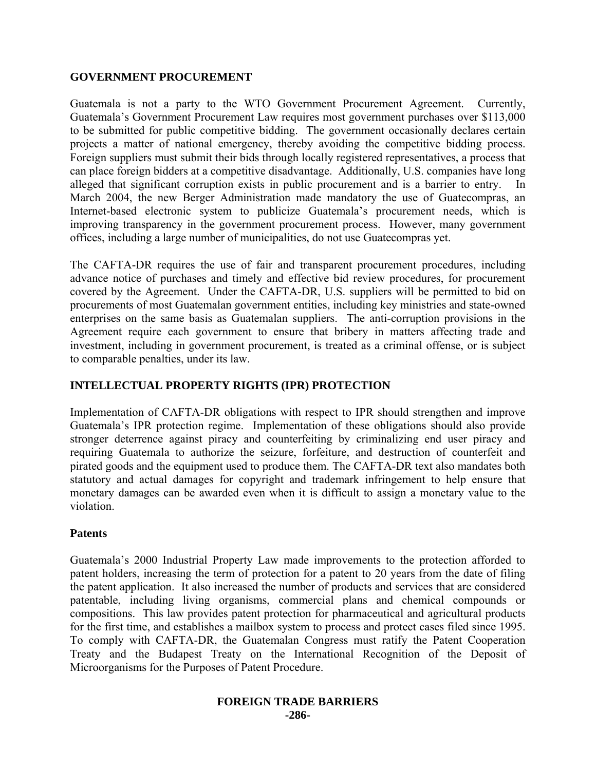#### **GOVERNMENT PROCUREMENT**

Guatemala is not a party to the WTO Government Procurement Agreement.Currently, Guatemala's Government Procurement Law requires most government purchases over \$113,000 to be submitted for public competitive bidding. The government occasionally declares certain projects a matter of national emergency, thereby avoiding the competitive bidding process. Foreign suppliers must submit their bids through locally registered representatives, a process that can place foreign bidders at a competitive disadvantage. Additionally, U.S. companies have long alleged that significant corruption exists in public procurement and is a barrier to entry. In March 2004, the new Berger Administration made mandatory the use of Guatecompras, an Internet-based electronic system to publicize Guatemala's procurement needs, which is improving transparency in the government procurement process. However, many government offices, including a large number of municipalities, do not use Guatecompras yet.

The CAFTA-DR requires the use of fair and transparent procurement procedures, including advance notice of purchases and timely and effective bid review procedures, for procurement covered by the Agreement. Under the CAFTA-DR, U.S. suppliers will be permitted to bid on procurements of most Guatemalan government entities, including key ministries and state-owned enterprises on the same basis as Guatemalan suppliers. The anti-corruption provisions in the Agreement require each government to ensure that bribery in matters affecting trade and investment, including in government procurement, is treated as a criminal offense, or is subject to comparable penalties, under its law.

## **INTELLECTUAL PROPERTY RIGHTS (IPR) PROTECTION**

Implementation of CAFTA-DR obligations with respect to IPR should strengthen and improve Guatemala's IPR protection regime. Implementation of these obligations should also provide stronger deterrence against piracy and counterfeiting by criminalizing end user piracy and requiring Guatemala to authorize the seizure, forfeiture, and destruction of counterfeit and pirated goods and the equipment used to produce them. The CAFTA-DR text also mandates both statutory and actual damages for copyright and trademark infringement to help ensure that monetary damages can be awarded even when it is difficult to assign a monetary value to the violation.

#### **Patents**

Guatemala's 2000 Industrial Property Law made improvements to the protection afforded to patent holders, increasing the term of protection for a patent to 20 years from the date of filing the patent application. It also increased the number of products and services that are considered patentable, including living organisms, commercial plans and chemical compounds or compositions. This law provides patent protection for pharmaceutical and agricultural products for the first time, and establishes a mailbox system to process and protect cases filed since 1995. To comply with CAFTA-DR, the Guatemalan Congress must ratify the Patent Cooperation Treaty and the Budapest Treaty on the International Recognition of the Deposit of Microorganisms for the Purposes of Patent Procedure.

#### **FOREIGN TRADE BARRIERS -286-**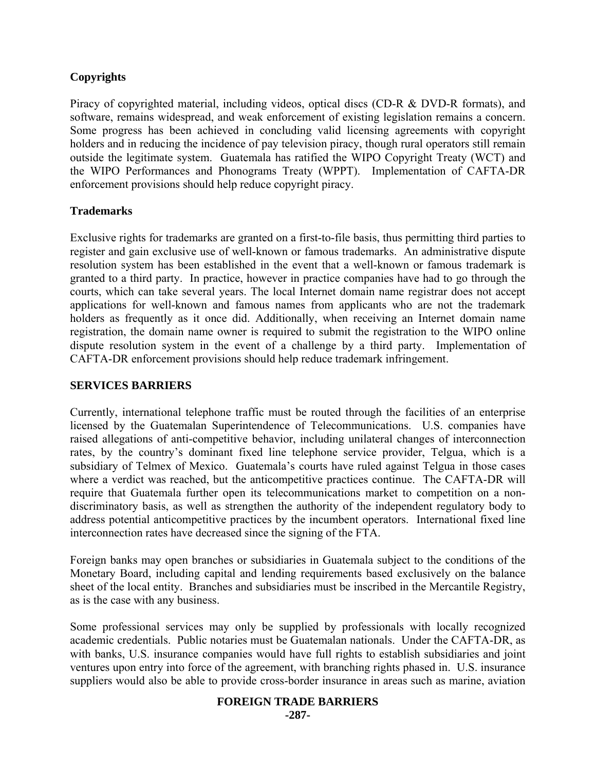## **Copyrights**

Piracy of copyrighted material, including videos, optical discs (CD-R & DVD-R formats), and software, remains widespread, and weak enforcement of existing legislation remains a concern. Some progress has been achieved in concluding valid licensing agreements with copyright holders and in reducing the incidence of pay television piracy, though rural operators still remain outside the legitimate system. Guatemala has ratified the WIPO Copyright Treaty (WCT) and the WIPO Performances and Phonograms Treaty (WPPT). Implementation of CAFTA-DR enforcement provisions should help reduce copyright piracy.

## **Trademarks**

Exclusive rights for trademarks are granted on a first-to-file basis, thus permitting third parties to register and gain exclusive use of well-known or famous trademarks. An administrative dispute resolution system has been established in the event that a well-known or famous trademark is granted to a third party. In practice, however in practice companies have had to go through the courts, which can take several years. The local Internet domain name registrar does not accept applications for well-known and famous names from applicants who are not the trademark holders as frequently as it once did. Additionally, when receiving an Internet domain name registration, the domain name owner is required to submit the registration to the WIPO online dispute resolution system in the event of a challenge by a third party. Implementation of CAFTA-DR enforcement provisions should help reduce trademark infringement.

## **SERVICES BARRIERS**

Currently, international telephone traffic must be routed through the facilities of an enterprise licensed by the Guatemalan Superintendence of Telecommunications. U.S. companies have raised allegations of anti-competitive behavior, including unilateral changes of interconnection rates, by the country's dominant fixed line telephone service provider, Telgua, which is a subsidiary of Telmex of Mexico. Guatemala's courts have ruled against Telgua in those cases where a verdict was reached, but the anticompetitive practices continue. The CAFTA-DR will require that Guatemala further open its telecommunications market to competition on a nondiscriminatory basis, as well as strengthen the authority of the independent regulatory body to address potential anticompetitive practices by the incumbent operators. International fixed line interconnection rates have decreased since the signing of the FTA.

Foreign banks may open branches or subsidiaries in Guatemala subject to the conditions of the Monetary Board, including capital and lending requirements based exclusively on the balance sheet of the local entity. Branches and subsidiaries must be inscribed in the Mercantile Registry, as is the case with any business.

Some professional services may only be supplied by professionals with locally recognized academic credentials. Public notaries must be Guatemalan nationals. Under the CAFTA-DR, as with banks, U.S. insurance companies would have full rights to establish subsidiaries and joint ventures upon entry into force of the agreement, with branching rights phased in. U.S. insurance suppliers would also be able to provide cross-border insurance in areas such as marine, aviation

## **FOREIGN TRADE BARRIERS**

**-287-**